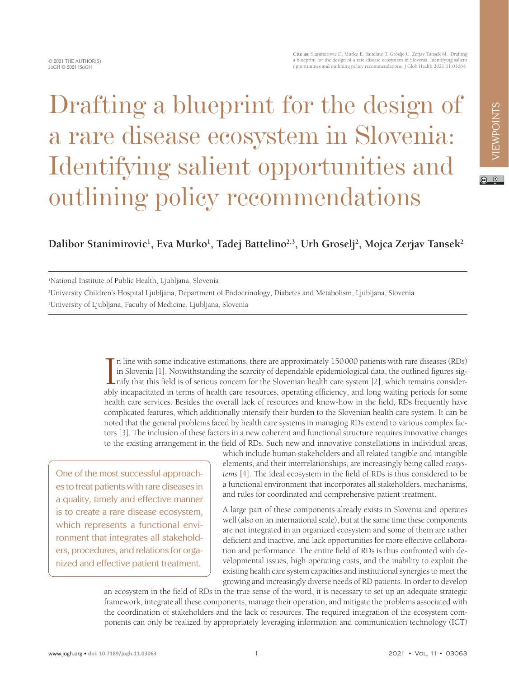$\overline{a}$   $\overline{0}$ 

# Drafting a blueprint for the design of a rare disease ecosystem in Slovenia: Identifying salient opportunities and outlining policy recommendations

## Dalibor Stanimirovic<sup>1</sup>, Eva Murko<sup>1</sup>, Tadej Battelino<sup>2,3</sup>, Urh Groselj<sup>2</sup>, Mojca Zerjav Tansek<sup>2</sup>

1 National Institute of Public Health, Ljubljana, Slovenia

2 University Children's Hospital Ljubljana, Department of Endocrinology, Diabetes and Metabolism, Ljubljana, Slovenia 3 University of Ljubljana, Faculty of Medicine, Ljubljana, Slovenia

> In line with some indicative estimations, there are approximately 150000 patients with rare diseases (RDs) in Slovenia [1]. Notwithstanding the scarcity of dependable epidemiological data, the outlined figures signify that n line with some indicative estimations, there are approximately 150000 patients with rare diseases (RDs) in Slovenia [[1\]](#page-3-0). Notwithstanding the scarcity of dependable epidemiological data, the outlined figures sig-**L** nify that this field is of serious concern for the Slovenian health care system [\[2](#page-3-1)], which remains considerhealth care services. Besides the overall lack of resources and know-how in the field, RDs frequently have complicated features, which additionally intensify their burden to the Slovenian health care system. It can be noted that the general problems faced by health care systems in managing RDs extend to various complex factors [\[3](#page-3-2)]. The inclusion of these factors in a new coherent and functional structure requires innovative changes to the existing arrangement in the field of RDs. Such new and innovative constellations in individual areas,

One of the most successful approaches to treat patients with rare diseases in a quality, timely and effective manner is to create a rare disease ecosystem, which represents a functional environment that integrates all stakeholders, procedures, and relations for organized and effective patient treatment.

which include human stakeholders and all related tangible and intangible elements, and their interrelationships, are increasingly being called *ecosystems* [[4\]](#page-3-3). The ideal ecosystem in the field of RDs is thus considered to be a functional environment that incorporates all stakeholders, mechanisms, and rules for coordinated and comprehensive patient treatment.

A large part of these components already exists in Slovenia and operates well (also on an international scale), but at the same time these components are not integrated in an organized ecosystem and some of them are rather deficient and inactive, and lack opportunities for more effective collaboration and performance. The entire field of RDs is thus confronted with developmental issues, high operating costs, and the inability to exploit the existing health care system capacities and institutional synergies to meet the growing and increasingly diverse needs of RD patients. In order to develop

an ecosystem in the field of RDs in the true sense of the word, it is necessary to set up an adequate strategic framework, integrate all these components, manage their operation, and mitigate the problems associated with the coordination of stakeholders and the lack of resources. The required integration of the ecosystem components can only be realized by appropriately leveraging information and communication technology (ICT)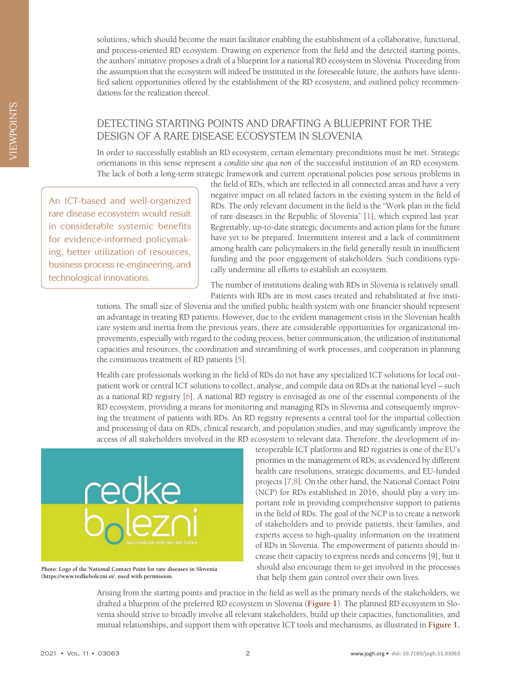solutions, which should become the main facilitator enabling the establishment of a collaborative, functional, and process-oriented RD ecosystem. Drawing on experience from the field and the detected starting points, the authors' initiative proposes a draft of a blueprint for a national RD ecosystem in Slovenia. Proceeding from the assumption that the ecosystem will indeed be instituted in the foreseeable future, the authors have identified salient opportunities offered by the establishment of the RD ecosystem, and outlined policy recommendations for the realization thereof.

### DETECTING STARTING POINTS AND DRAFTING A BLUEPRINT FOR THE DESIGN OF A RARE DISEASE ECOSYSTEM IN SLOVENIA

In order to successfully establish an RD ecosystem, certain elementary preconditions must be met. Strategic orientations in this sense represent a *conditio sine qua non* of the successful institution of an RD ecosystem. The lack of both a long-term strategic framework and current operational policies pose serious problems in

An ICT-based and well-organized rare disease ecosystem would result in considerable systemic benefits for evidence-informed policymaking, better utilization of resources, business process re-engineering, and technological innovations.

the field of RDs, which are reflected in all connected areas and have a very negative impact on all related factors in the existing system in the field of RDs. The only relevant document in the field is the "Work plan in the field of rare diseases in the Republic of Slovenia" [[1](#page-3-0)], which expired last year. Regrettably, up-to-date strategic documents and action plans for the future have yet to be prepared. Intermittent interest and a lack of commitment among health care policymakers in the field generally result in insufficient funding and the poor engagement of stakeholders. Such conditions typically undermine all efforts to establish an ecosystem.

The number of institutions dealing with RDs in Slovenia is relatively small. Patients with RDs are in most cases treated and rehabilitated at five insti-

tutions. The small size of Slovenia and the unified public health system with one financier should represent an advantage in treating RD patients. However, due to the evident management crisis in the Slovenian health care system and inertia from the previous years, there are considerable opportunities for organizational improvements, especially with regard to the coding process, better communication, the utilization of institutional capacities and resources, the coordination and streamlining of work processes, and cooperation in planning the continuous treatment of RD patients [\[5](#page-3-4)].

Health care professionals working in the field of RDs do not have any specialized ICT solutions for local outpatient work or central ICT solutions to collect, analyse, and compile data on RDs at the national level – such as a national RD registry [\[6](#page-3-5)]. A national RD registry is envisaged as one of the essential components of the RD ecosystem, providing a means for monitoring and managing RDs in Slovenia and consequently improving the treatment of patients with RDs. An RD registry represents a central tool for the impartial collection and processing of data on RDs, clinical research, and population studies, and may significantly improve the access of all stakeholders involved in the RD ecosystem to relevant data. Therefore, the development of in-



**Photo: Logo of the National Contact Point for rare diseases in Slovenia (https://www.redkebolezni.si/, used with permission.**

teroperable ICT platforms and RD registries is one of the EU's priorities in the management of RDs, as evidenced by different health care resolutions, strategic documents, and EU-funded projects [[7](#page-3-6)[,8\]](#page-3-7). On the other hand, the National Contact Point (NCP) for RDs established in 2016, should play a very important role in providing comprehensive support to patients in the field of RDs. The goal of the NCP is to create a network of stakeholders and to provide patients, their families, and experts access to high-quality information on the treatment of RDs in Slovenia. The empowerment of patients should increase their capacity to express needs and concerns [9], but it should also encourage them to get involved in the processes that help them gain control over their own lives.

Arising from the starting points and practice in the field as well as the primary needs of the stakeholders, we drafted a blueprint of the preferred RD ecosystem in Slovenia (**[Figure 1](#page-2-0)**). The planned RD ecosystem in Slovenia should strive to broadly involve all relevant stakeholders, build up their capacities, functionalities, and mutual relationships, and support them with operative ICT tools and mechanisms, as illustrated in **[Figure 1.](#page-2-0)**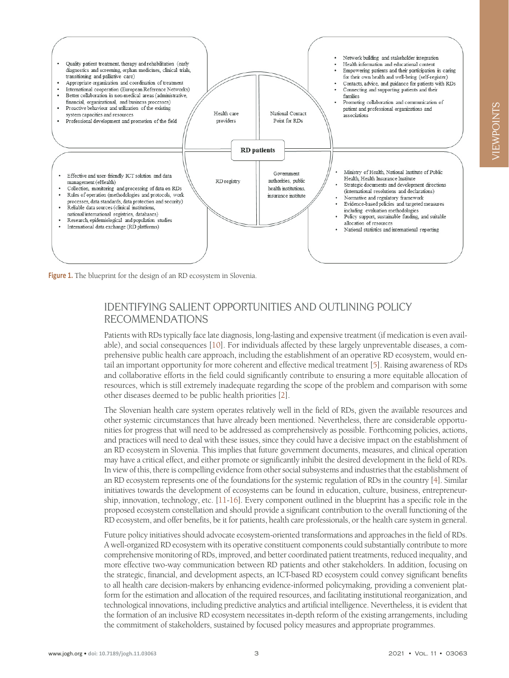<span id="page-2-0"></span>

**Figure 1.** The blueprint for the design of an RD ecosystem in Slovenia.

### IDENTIFYING SALIENT OPPORTUNITIES AND OUTLINING POLICY RECOMMENDATIONS

Patients with RDs typically face late diagnosis, long-lasting and expensive treatment (if medication is even available), and social consequences [[10](#page-3-8)]. For individuals affected by these largely unpreventable diseases, a comprehensive public health care approach, including the establishment of an operative RD ecosystem, would entail an important opportunity for more coherent and effective medical treatment [\[5\]](#page-3-4). Raising awareness of RDs and collaborative efforts in the field could significantly contribute to ensuring a more equitable allocation of resources, which is still extremely inadequate regarding the scope of the problem and comparison with some other diseases deemed to be public health priorities [[2\]](#page-3-1).

The Slovenian health care system operates relatively well in the field of RDs, given the available resources and other systemic circumstances that have already been mentioned. Nevertheless, there are considerable opportunities for progress that will need to be addressed as comprehensively as possible. Forthcoming policies, actions, and practices will need to deal with these issues, since they could have a decisive impact on the establishment of an RD ecosystem in Slovenia. This implies that future government documents, measures, and clinical operation may have a critical effect, and either promote or significantly inhibit the desired development in the field of RDs. In view of this, there is compelling evidence from other social subsystems and industries that the establishment of an RD ecosystem represents one of the foundations for the systemic regulation of RDs in the country [\[4](#page-3-3)]. Similar initiatives towards the development of ecosystems can be found in education, culture, business, entrepreneurship, innovation, technology, etc. [\[11](#page-3-9)-[16](#page-3-10)]. Every component outlined in the blueprint has a specific role in the proposed ecosystem constellation and should provide a significant contribution to the overall functioning of the RD ecosystem, and offer benefits, be it for patients, health care professionals, or the health care system in general.

Future policy initiatives should advocate ecosystem-oriented transformations and approaches in the field of RDs. A well-organized RD ecosystem with its operative constituent components could substantially contribute to more comprehensive monitoring of RDs, improved, and better coordinated patient treatments, reduced inequality, and more effective two-way communication between RD patients and other stakeholders. In addition, focusing on the strategic, financial, and development aspects, an ICT-based RD ecosystem could convey significant benefits to all health care decision-makers by enhancing evidence-informed policymaking, providing a convenient platform for the estimation and allocation of the required resources, and facilitating institutional reorganization, and technological innovations, including predictive analytics and artificial intelligence. Nevertheless, it is evident that the formation of an inclusive RD ecosystem necessitates in-depth reform of the existing arrangements, including the commitment of stakeholders, sustained by focused policy measures and appropriate programmes.